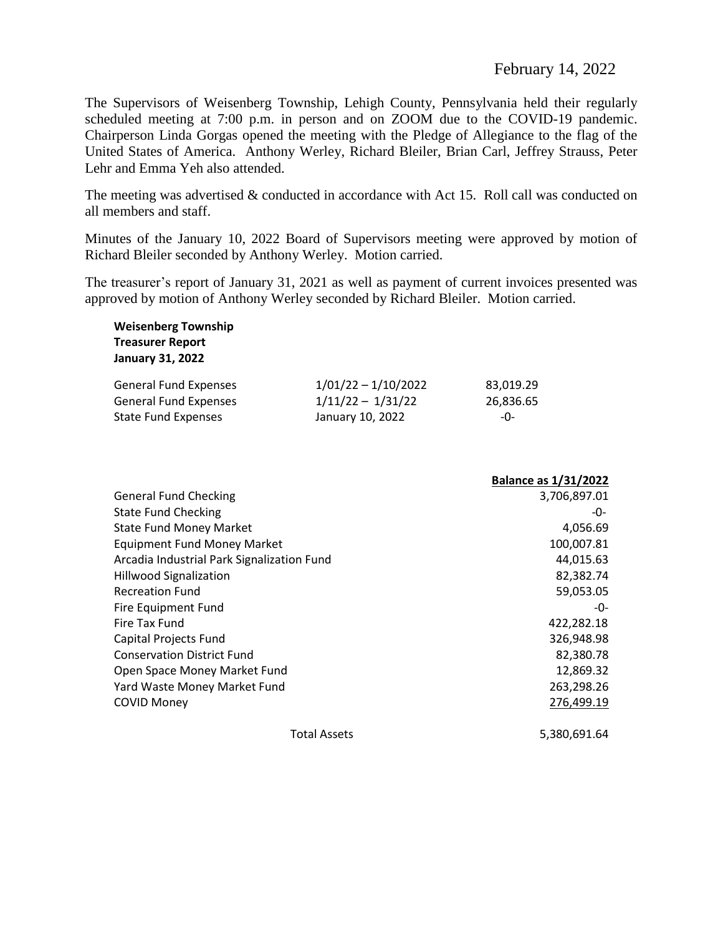The Supervisors of Weisenberg Township, Lehigh County, Pennsylvania held their regularly scheduled meeting at 7:00 p.m. in person and on ZOOM due to the COVID-19 pandemic. Chairperson Linda Gorgas opened the meeting with the Pledge of Allegiance to the flag of the United States of America. Anthony Werley, Richard Bleiler, Brian Carl, Jeffrey Strauss, Peter Lehr and Emma Yeh also attended.

The meeting was advertised & conducted in accordance with Act 15. Roll call was conducted on all members and staff.

Minutes of the January 10, 2022 Board of Supervisors meeting were approved by motion of Richard Bleiler seconded by Anthony Werley. Motion carried.

The treasurer's report of January 31, 2021 as well as payment of current invoices presented was approved by motion of Anthony Werley seconded by Richard Bleiler. Motion carried.

| <b>Weisenberg Township</b>   |                       |           |
|------------------------------|-----------------------|-----------|
| <b>Treasurer Report</b>      |                       |           |
| <b>January 31, 2022</b>      |                       |           |
| <b>General Fund Expenses</b> | $1/01/22 - 1/10/2022$ | 83,019.29 |
| <b>General Fund Expenses</b> | $1/11/22 - 1/31/22$   | 26,836.65 |
| <b>State Fund Expenses</b>   | January 10, 2022      | -O-       |

|                                            | <b>Balance as 1/31/2022</b> |
|--------------------------------------------|-----------------------------|
| <b>General Fund Checking</b>               | 3,706,897.01                |
| <b>State Fund Checking</b>                 | -0-                         |
| <b>State Fund Money Market</b>             | 4,056.69                    |
| <b>Equipment Fund Money Market</b>         | 100,007.81                  |
| Arcadia Industrial Park Signalization Fund | 44,015.63                   |
| <b>Hillwood Signalization</b>              | 82,382.74                   |
| <b>Recreation Fund</b>                     | 59,053.05                   |
| Fire Equipment Fund                        | -0-                         |
| Fire Tax Fund                              | 422,282.18                  |
| Capital Projects Fund                      | 326,948.98                  |
| <b>Conservation District Fund</b>          | 82,380.78                   |
| Open Space Money Market Fund               | 12,869.32                   |
| Yard Waste Money Market Fund               | 263,298.26                  |
| <b>COVID Money</b>                         | 276,499.19                  |
| <b>Total Assets</b>                        | 5,380,691.64                |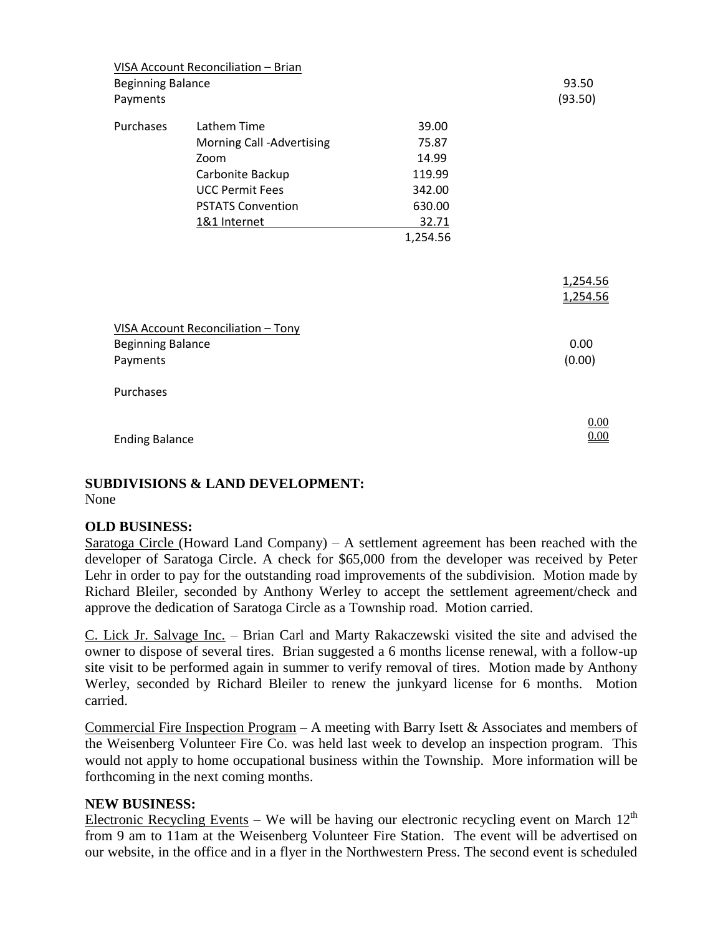|                                      | VISA Account Reconciliation - Brian |          |                  |
|--------------------------------------|-------------------------------------|----------|------------------|
| <b>Beginning Balance</b><br>Payments |                                     |          | 93.50<br>(93.50) |
| Purchases                            | Lathem Time                         | 39.00    |                  |
|                                      | Morning Call -Advertising           | 75.87    |                  |
|                                      | Zoom                                | 14.99    |                  |
|                                      | Carbonite Backup                    | 119.99   |                  |
|                                      | <b>UCC Permit Fees</b>              | 342.00   |                  |
|                                      | <b>PSTATS Convention</b>            | 630.00   |                  |
|                                      | 1&1 Internet                        | 32.71    |                  |
|                                      |                                     | 1,254.56 |                  |
|                                      |                                     |          |                  |
|                                      |                                     |          |                  |
|                                      |                                     |          | 1,254.56         |
|                                      |                                     |          | 1,254.56         |
|                                      |                                     |          |                  |
|                                      | VISA Account Reconciliation - Tony  |          |                  |
| <b>Beginning Balance</b>             |                                     |          | 0.00             |
| Payments                             |                                     |          | (0.00)           |
|                                      |                                     |          |                  |
| Purchases                            |                                     |          |                  |
|                                      |                                     |          |                  |
|                                      |                                     |          | 0.00<br>0.00     |
| <b>Ending Balance</b>                |                                     |          |                  |

# **SUBDIVISIONS & LAND DEVELOPMENT:**

None

# **OLD BUSINESS:**

Saratoga Circle (Howard Land Company) – A settlement agreement has been reached with the developer of Saratoga Circle. A check for \$65,000 from the developer was received by Peter Lehr in order to pay for the outstanding road improvements of the subdivision. Motion made by Richard Bleiler, seconded by Anthony Werley to accept the settlement agreement/check and approve the dedication of Saratoga Circle as a Township road. Motion carried.

C. Lick Jr. Salvage Inc. – Brian Carl and Marty Rakaczewski visited the site and advised the owner to dispose of several tires. Brian suggested a 6 months license renewal, with a follow-up site visit to be performed again in summer to verify removal of tires. Motion made by Anthony Werley, seconded by Richard Bleiler to renew the junkyard license for 6 months. Motion carried.

Commercial Fire Inspection Program – A meeting with Barry Isett & Associates and members of the Weisenberg Volunteer Fire Co. was held last week to develop an inspection program. This would not apply to home occupational business within the Township. More information will be forthcoming in the next coming months.

### **NEW BUSINESS:**

Electronic Recycling Events – We will be having our electronic recycling event on March  $12<sup>th</sup>$ from 9 am to 11am at the Weisenberg Volunteer Fire Station. The event will be advertised on our website, in the office and in a flyer in the Northwestern Press. The second event is scheduled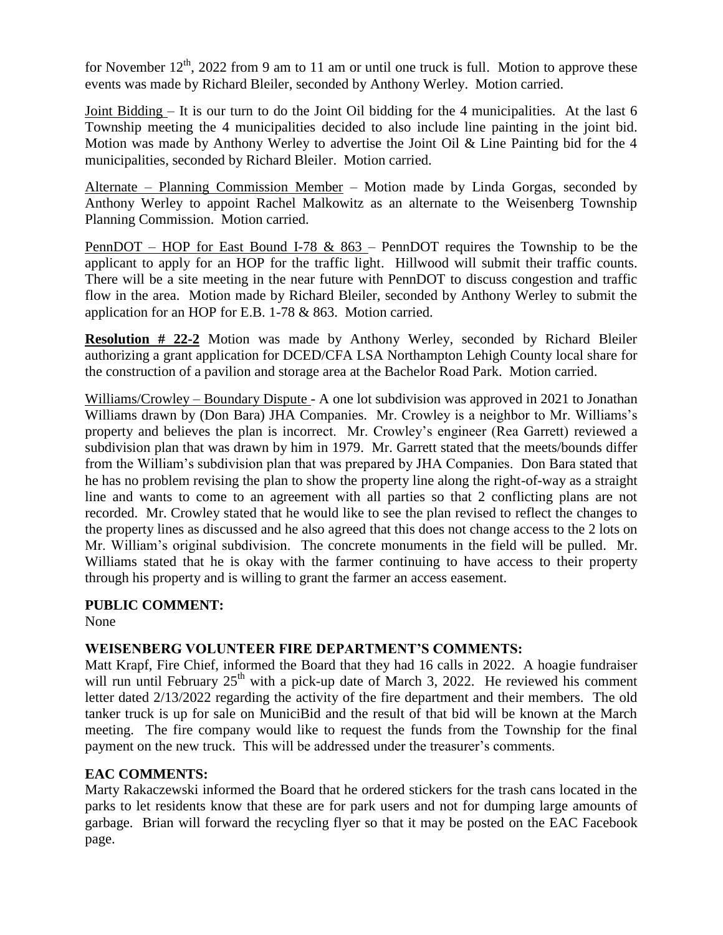for November  $12<sup>th</sup>$ , 2022 from 9 am to 11 am or until one truck is full. Motion to approve these events was made by Richard Bleiler, seconded by Anthony Werley. Motion carried.

Joint Bidding – It is our turn to do the Joint Oil bidding for the 4 municipalities. At the last 6 Township meeting the 4 municipalities decided to also include line painting in the joint bid. Motion was made by Anthony Werley to advertise the Joint Oil & Line Painting bid for the 4 municipalities, seconded by Richard Bleiler. Motion carried.

Alternate – Planning Commission Member – Motion made by Linda Gorgas, seconded by Anthony Werley to appoint Rachel Malkowitz as an alternate to the Weisenberg Township Planning Commission. Motion carried.

<u>PennDOT – HOP for East Bound I-78 & 863</u> – PennDOT requires the Township to be the applicant to apply for an HOP for the traffic light. Hillwood will submit their traffic counts. There will be a site meeting in the near future with PennDOT to discuss congestion and traffic flow in the area. Motion made by Richard Bleiler, seconded by Anthony Werley to submit the application for an HOP for E.B. 1-78 & 863. Motion carried.

**Resolution # 22-2** Motion was made by Anthony Werley, seconded by Richard Bleiler authorizing a grant application for DCED/CFA LSA Northampton Lehigh County local share for the construction of a pavilion and storage area at the Bachelor Road Park. Motion carried.

Williams/Crowley – Boundary Dispute - A one lot subdivision was approved in 2021 to Jonathan Williams drawn by (Don Bara) JHA Companies. Mr. Crowley is a neighbor to Mr. Williams's property and believes the plan is incorrect. Mr. Crowley's engineer (Rea Garrett) reviewed a subdivision plan that was drawn by him in 1979. Mr. Garrett stated that the meets/bounds differ from the William's subdivision plan that was prepared by JHA Companies. Don Bara stated that he has no problem revising the plan to show the property line along the right-of-way as a straight line and wants to come to an agreement with all parties so that 2 conflicting plans are not recorded. Mr. Crowley stated that he would like to see the plan revised to reflect the changes to the property lines as discussed and he also agreed that this does not change access to the 2 lots on Mr. William's original subdivision. The concrete monuments in the field will be pulled. Mr. Williams stated that he is okay with the farmer continuing to have access to their property through his property and is willing to grant the farmer an access easement.

# **PUBLIC COMMENT:**

None

# **WEISENBERG VOLUNTEER FIRE DEPARTMENT'S COMMENTS:**

Matt Krapf, Fire Chief, informed the Board that they had 16 calls in 2022. A hoagie fundraiser will run until February  $25<sup>th</sup>$  with a pick-up date of March 3, 2022. He reviewed his comment letter dated 2/13/2022 regarding the activity of the fire department and their members. The old tanker truck is up for sale on MuniciBid and the result of that bid will be known at the March meeting. The fire company would like to request the funds from the Township for the final payment on the new truck. This will be addressed under the treasurer's comments.

# **EAC COMMENTS:**

Marty Rakaczewski informed the Board that he ordered stickers for the trash cans located in the parks to let residents know that these are for park users and not for dumping large amounts of garbage. Brian will forward the recycling flyer so that it may be posted on the EAC Facebook page.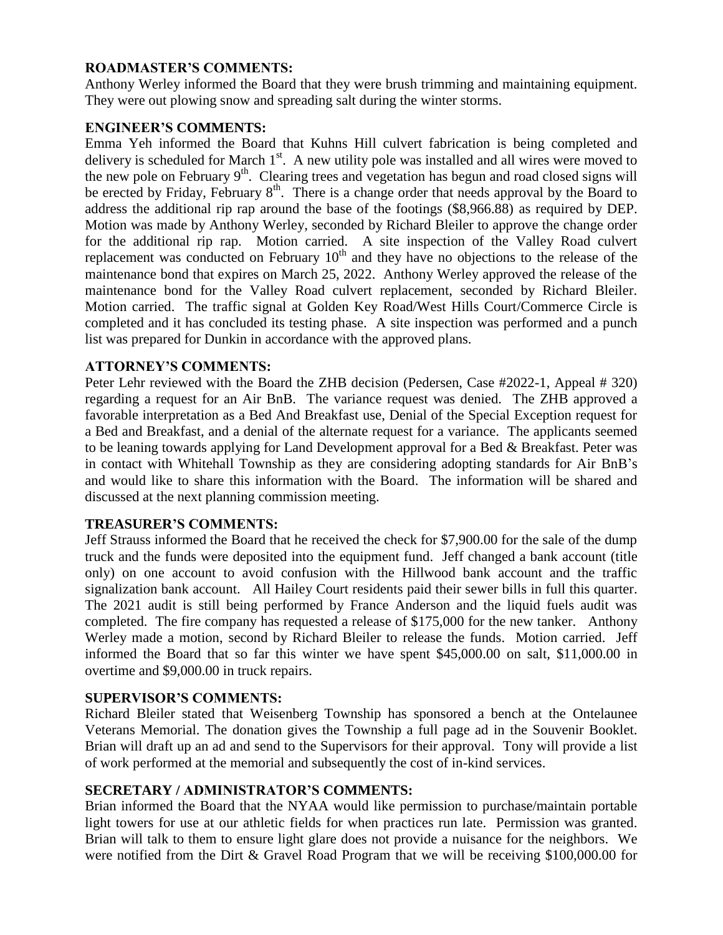## **ROADMASTER'S COMMENTS:**

Anthony Werley informed the Board that they were brush trimming and maintaining equipment. They were out plowing snow and spreading salt during the winter storms.

## **ENGINEER'S COMMENTS:**

Emma Yeh informed the Board that Kuhns Hill culvert fabrication is being completed and delivery is scheduled for March 1<sup>st</sup>. A new utility pole was installed and all wires were moved to the new pole on February  $9<sup>th</sup>$ . Clearing trees and vegetation has begun and road closed signs will be erected by Friday, February  $8<sup>th</sup>$ . There is a change order that needs approval by the Board to address the additional rip rap around the base of the footings (\$8,966.88) as required by DEP. Motion was made by Anthony Werley, seconded by Richard Bleiler to approve the change order for the additional rip rap. Motion carried. A site inspection of the Valley Road culvert replacement was conducted on February  $10<sup>th</sup>$  and they have no objections to the release of the maintenance bond that expires on March 25, 2022. Anthony Werley approved the release of the maintenance bond for the Valley Road culvert replacement, seconded by Richard Bleiler. Motion carried. The traffic signal at Golden Key Road/West Hills Court/Commerce Circle is completed and it has concluded its testing phase. A site inspection was performed and a punch list was prepared for Dunkin in accordance with the approved plans.

## **ATTORNEY'S COMMENTS:**

Peter Lehr reviewed with the Board the ZHB decision (Pedersen, Case #2022-1, Appeal # 320) regarding a request for an Air BnB. The variance request was denied. The ZHB approved a favorable interpretation as a Bed And Breakfast use, Denial of the Special Exception request for a Bed and Breakfast, and a denial of the alternate request for a variance. The applicants seemed to be leaning towards applying for Land Development approval for a Bed & Breakfast. Peter was in contact with Whitehall Township as they are considering adopting standards for Air BnB's and would like to share this information with the Board. The information will be shared and discussed at the next planning commission meeting.

### **TREASURER'S COMMENTS:**

Jeff Strauss informed the Board that he received the check for \$7,900.00 for the sale of the dump truck and the funds were deposited into the equipment fund. Jeff changed a bank account (title only) on one account to avoid confusion with the Hillwood bank account and the traffic signalization bank account. All Hailey Court residents paid their sewer bills in full this quarter. The 2021 audit is still being performed by France Anderson and the liquid fuels audit was completed. The fire company has requested a release of \$175,000 for the new tanker. Anthony Werley made a motion, second by Richard Bleiler to release the funds. Motion carried. Jeff informed the Board that so far this winter we have spent \$45,000.00 on salt, \$11,000.00 in overtime and \$9,000.00 in truck repairs.

### **SUPERVISOR'S COMMENTS:**

Richard Bleiler stated that Weisenberg Township has sponsored a bench at the Ontelaunee Veterans Memorial. The donation gives the Township a full page ad in the Souvenir Booklet. Brian will draft up an ad and send to the Supervisors for their approval. Tony will provide a list of work performed at the memorial and subsequently the cost of in-kind services.

### **SECRETARY / ADMINISTRATOR'S COMMENTS:**

Brian informed the Board that the NYAA would like permission to purchase/maintain portable light towers for use at our athletic fields for when practices run late. Permission was granted. Brian will talk to them to ensure light glare does not provide a nuisance for the neighbors. We were notified from the Dirt & Gravel Road Program that we will be receiving \$100,000.00 for